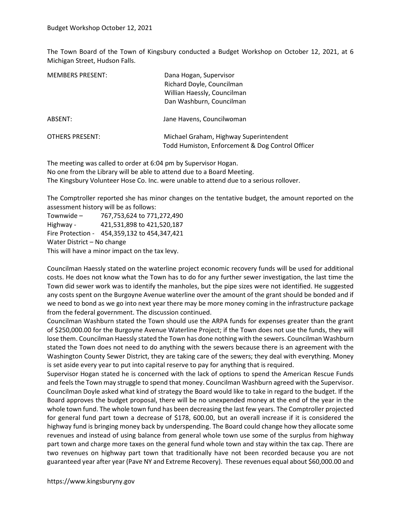The Town Board of the Town of Kingsbury conducted a Budget Workshop on October 12, 2021, at 6 Michigan Street, Hudson Falls.

| <b>MEMBERS PRESENT:</b> | Dana Hogan, Supervisor<br>Richard Doyle, Councilman<br>Willian Haessly, Councilman<br>Dan Washburn, Councilman |
|-------------------------|----------------------------------------------------------------------------------------------------------------|
| ABSENT:                 | Jane Havens, Councilwoman                                                                                      |
| <b>OTHERS PRESENT:</b>  | Michael Graham, Highway Superintendent<br>Todd Humiston, Enforcement & Dog Control Officer                     |

The meeting was called to order at 6:04 pm by Supervisor Hogan.

No one from the Library will be able to attend due to a Board Meeting.

The Kingsbury Volunteer Hose Co. Inc. were unable to attend due to a serious rollover.

The Comptroller reported she has minor changes on the tentative budget, the amount reported on the assessment history will be as follows:

| Townwide-                                      | 767,753,624 to 771,272,490                   |
|------------------------------------------------|----------------------------------------------|
| Highway -                                      | 421,531,898 to 421,520,187                   |
|                                                | Fire Protection - 454,359,132 to 454,347,421 |
| Water District - No change                     |                                              |
| This will have a minor impact on the tax levy. |                                              |

Councilman Haessly stated on the waterline project economic recovery funds will be used for additional costs. He does not know what the Town has to do for any further sewer investigation, the last time the Town did sewer work was to identify the manholes, but the pipe sizes were not identified. He suggested any costs spent on the Burgoyne Avenue waterline over the amount of the grant should be bonded and if we need to bond as we go into next year there may be more money coming in the infrastructure package from the federal government. The discussion continued.

Councilman Washburn stated the Town should use the ARPA funds for expenses greater than the grant of \$250,000.00 for the Burgoyne Avenue Waterline Project; if the Town does not use the funds, they will lose them. Councilman Haessly stated the Town has done nothing with the sewers. Councilman Washburn stated the Town does not need to do anything with the sewers because there is an agreement with the Washington County Sewer District, they are taking care of the sewers; they deal with everything. Money is set aside every year to put into capital reserve to pay for anything that is required.

Supervisor Hogan stated he is concerned with the lack of options to spend the American Rescue Funds and feels the Town may struggle to spend that money. Councilman Washburn agreed with the Supervisor. Councilman Doyle asked what kind of strategy the Board would like to take in regard to the budget. If the Board approves the budget proposal, there will be no unexpended money at the end of the year in the whole town fund. The whole town fund has been decreasing the last few years. The Comptroller projected for general fund part town a decrease of \$178, 600.00, but an overall increase if it is considered the highway fund is bringing money back by underspending. The Board could change how they allocate some revenues and instead of using balance from general whole town use some of the surplus from highway part town and charge more taxes on the general fund whole town and stay within the tax cap. There are two revenues on highway part town that traditionally have not been recorded because you are not guaranteed year after year (Pave NY and Extreme Recovery). These revenues equal about \$60,000.00 and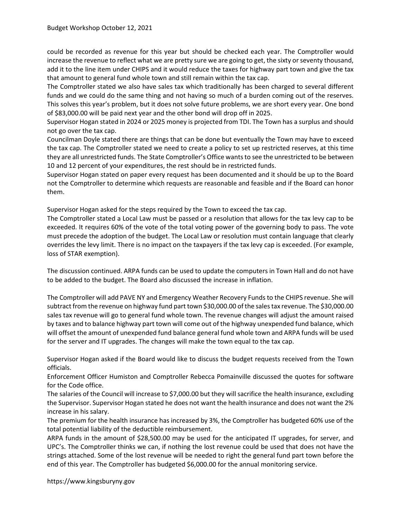could be recorded as revenue for this year but should be checked each year. The Comptroller would increase the revenue to reflect what we are pretty sure we are going to get, the sixty or seventy thousand, add it to the line item under CHIPS and it would reduce the taxes for highway part town and give the tax that amount to general fund whole town and still remain within the tax cap.

The Comptroller stated we also have sales tax which traditionally has been charged to several different funds and we could do the same thing and not having so much of a burden coming out of the reserves. This solves this year's problem, but it does not solve future problems, we are short every year. One bond of \$83,000.00 will be paid next year and the other bond will drop off in 2025.

Supervisor Hogan stated in 2024 or 2025 money is projected from TDI. The Town has a surplus and should not go over the tax cap.

Councilman Doyle stated there are things that can be done but eventually the Town may have to exceed the tax cap. The Comptroller stated we need to create a policy to set up restricted reserves, at this time they are all unrestricted funds. The State Comptroller's Office wants to see the unrestricted to be between 10 and 12 percent of your expenditures, the rest should be in restricted funds.

Supervisor Hogan stated on paper every request has been documented and it should be up to the Board not the Comptroller to determine which requests are reasonable and feasible and if the Board can honor them.

Supervisor Hogan asked for the steps required by the Town to exceed the tax cap.

The Comptroller stated a Local Law must be passed or a resolution that allows for the tax levy cap to be exceeded. It requires 60% of the vote of the total voting power of the governing body to pass. The vote must precede the adoption of the budget. The Local Law or resolution must contain language that clearly overrides the levy limit. There is no impact on the taxpayers if the tax levy cap is exceeded. (For example, loss of STAR exemption).

The discussion continued. ARPA funds can be used to update the computers in Town Hall and do not have to be added to the budget. The Board also discussed the increase in inflation.

The Comptroller will add PAVE NY and Emergency Weather Recovery Funds to the CHIPS revenue. She will subtract from the revenue on highway fund part town \$30,000.00 of the sales tax revenue. The \$30,000.00 sales tax revenue will go to general fund whole town. The revenue changes will adjust the amount raised by taxes and to balance highway part town will come out of the highway unexpended fund balance, which will offset the amount of unexpended fund balance general fund whole town and ARPA funds will be used for the server and IT upgrades. The changes will make the town equal to the tax cap.

Supervisor Hogan asked if the Board would like to discuss the budget requests received from the Town officials.

Enforcement Officer Humiston and Comptroller Rebecca Pomainville discussed the quotes for software for the Code office.

The salaries of the Council will increase to \$7,000.00 but they will sacrifice the health insurance, excluding the Supervisor. Supervisor Hogan stated he does not want the health insurance and does not want the 2% increase in his salary.

The premium for the health insurance has increased by 3%, the Comptroller has budgeted 60% use of the total potential liability of the deductible reimbursement.

ARPA funds in the amount of \$28,500.00 may be used for the anticipated IT upgrades, for server, and UPC's. The Comptroller thinks we can, if nothing the lost revenue could be used that does not have the strings attached. Some of the lost revenue will be needed to right the general fund part town before the end of this year. The Comptroller has budgeted \$6,000.00 for the annual monitoring service.

https://www.kingsburyny.gov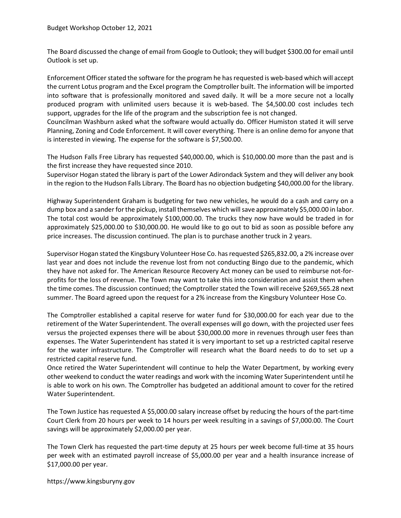The Board discussed the change of email from Google to Outlook; they will budget \$300.00 for email until Outlook is set up.

Enforcement Officer stated the software for the program he has requested is web-based which will accept the current Lotus program and the Excel program the Comptroller built. The information will be imported into software that is professionally monitored and saved daily. It will be a more secure not a locally produced program with unlimited users because it is web-based. The \$4,500.00 cost includes tech support, upgrades for the life of the program and the subscription fee is not changed.

Councilman Washburn asked what the software would actually do. Officer Humiston stated it will serve Planning, Zoning and Code Enforcement. It will cover everything. There is an online demo for anyone that is interested in viewing. The expense for the software is \$7,500.00.

The Hudson Falls Free Library has requested \$40,000.00, which is \$10,000.00 more than the past and is the first increase they have requested since 2010.

Supervisor Hogan stated the library is part of the Lower Adirondack System and they will deliver any book in the region to the Hudson Falls Library. The Board has no objection budgeting \$40,000.00 for the library.

Highway Superintendent Graham is budgeting for two new vehicles, he would do a cash and carry on a dump box and a sander for the pickup, install themselves which will save approximately \$5,000.00 in labor. The total cost would be approximately \$100,000.00. The trucks they now have would be traded in for approximately \$25,000.00 to \$30,000.00. He would like to go out to bid as soon as possible before any price increases. The discussion continued. The plan is to purchase another truck in 2 years.

Supervisor Hogan stated the Kingsbury Volunteer Hose Co. has requested \$265,832.00, a 2% increase over last year and does not include the revenue lost from not conducting Bingo due to the pandemic, which they have not asked for. The American Resource Recovery Act money can be used to reimburse not-forprofits for the loss of revenue. The Town may want to take this into consideration and assist them when the time comes. The discussion continued; the Comptroller stated the Town will receive \$269,565.28 next summer. The Board agreed upon the request for a 2% increase from the Kingsbury Volunteer Hose Co.

The Comptroller established a capital reserve for water fund for \$30,000.00 for each year due to the retirement of the Water Superintendent. The overall expenses will go down, with the projected user fees versus the projected expenses there will be about \$30,000.00 more in revenues through user fees than expenses. The Water Superintendent has stated it is very important to set up a restricted capital reserve for the water infrastructure. The Comptroller will research what the Board needs to do to set up a restricted capital reserve fund.

Once retired the Water Superintendent will continue to help the Water Department, by working every other weekend to conduct the water readings and work with the incoming Water Superintendent until he is able to work on his own. The Comptroller has budgeted an additional amount to cover for the retired Water Superintendent.

The Town Justice has requested A \$5,000.00 salary increase offset by reducing the hours of the part-time Court Clerk from 20 hours per week to 14 hours per week resulting in a savings of \$7,000.00. The Court savings will be approximately \$2,000.00 per year.

The Town Clerk has requested the part-time deputy at 25 hours per week become full-time at 35 hours per week with an estimated payroll increase of \$5,000.00 per year and a health insurance increase of \$17,000.00 per year.

https://www.kingsburyny.gov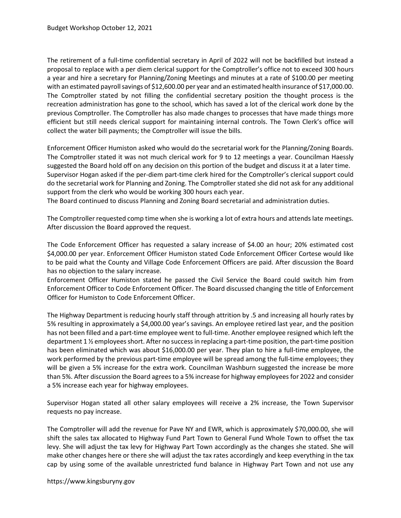The retirement of a full-time confidential secretary in April of 2022 will not be backfilled but instead a proposal to replace with a per diem clerical support for the Comptroller's office not to exceed 300 hours a year and hire a secretary for Planning/Zoning Meetings and minutes at a rate of \$100.00 per meeting with an estimated payroll savings of \$12,600.00 per year and an estimated health insurance of \$17,000.00. The Comptroller stated by not filling the confidential secretary position the thought process is the recreation administration has gone to the school, which has saved a lot of the clerical work done by the previous Comptroller. The Comptroller has also made changes to processes that have made things more efficient but still needs clerical support for maintaining internal controls. The Town Clerk's office will collect the water bill payments; the Comptroller will issue the bills.

Enforcement Officer Humiston asked who would do the secretarial work for the Planning/Zoning Boards. The Comptroller stated it was not much clerical work for 9 to 12 meetings a year. Councilman Haessly suggested the Board hold off on any decision on this portion of the budget and discuss it at a later time. Supervisor Hogan asked if the per-diem part-time clerk hired for the Comptroller's clerical support could do the secretarial work for Planning and Zoning. The Comptroller stated she did not ask for any additional support from the clerk who would be working 300 hours each year.

The Board continued to discuss Planning and Zoning Board secretarial and administration duties.

The Comptroller requested comp time when she is working a lot of extra hours and attends late meetings. After discussion the Board approved the request.

The Code Enforcement Officer has requested a salary increase of \$4.00 an hour; 20% estimated cost \$4,000.00 per year. Enforcement Officer Humiston stated Code Enforcement Officer Cortese would like to be paid what the County and Village Code Enforcement Officers are paid. After discussion the Board has no objection to the salary increase.

Enforcement Officer Humiston stated he passed the Civil Service the Board could switch him from Enforcement Officer to Code Enforcement Officer. The Board discussed changing the title of Enforcement Officer for Humiston to Code Enforcement Officer.

The Highway Department is reducing hourly staff through attrition by .5 and increasing all hourly rates by 5% resulting in approximately a \$4,000.00 year's savings. An employee retired last year, and the position has not been filled and a part-time employee went to full-time. Another employee resigned which left the department 1 ½ employees short. After no success in replacing a part-time position, the part-time position has been eliminated which was about \$16,000.00 per year. They plan to hire a full-time employee, the work performed by the previous part-time employee will be spread among the full-time employees; they will be given a 5% increase for the extra work. Councilman Washburn suggested the increase be more than 5%. After discussion the Board agrees to a 5% increase for highway employees for 2022 and consider a 5% increase each year for highway employees.

Supervisor Hogan stated all other salary employees will receive a 2% increase, the Town Supervisor requests no pay increase.

The Comptroller will add the revenue for Pave NY and EWR, which is approximately \$70,000.00, she will shift the sales tax allocated to Highway Fund Part Town to General Fund Whole Town to offset the tax levy. She will adjust the tax levy for Highway Part Town accordingly as the changes she stated. She will make other changes here or there she will adjust the tax rates accordingly and keep everything in the tax cap by using some of the available unrestricted fund balance in Highway Part Town and not use any